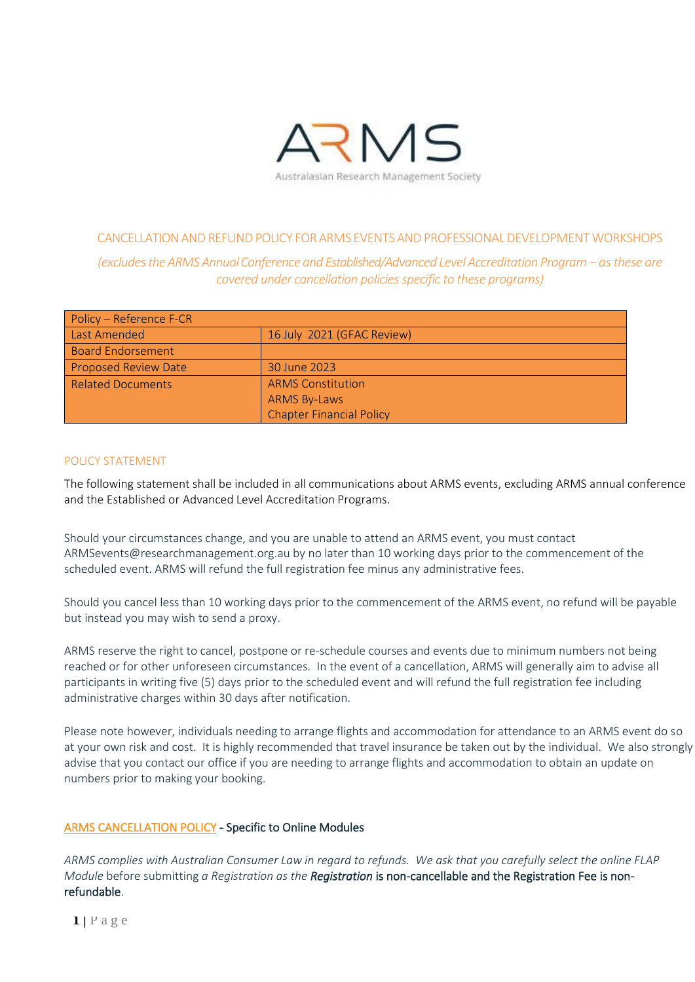

## CANCELLATION AND REFUND POLICY FOR ARMS EVENTS AND PROFESSIONAL DEVELOPMENT WORKSHOPS *(excludestheARMS AnnualConference and Established/Advanced LevelAccreditation Program – as these are covered under cancellation policies specific to these programs)*

| Policy – Reference F-CR     |                                 |  |  |  |
|-----------------------------|---------------------------------|--|--|--|
| Last Amended                | 16 July 2021 (GFAC Review)      |  |  |  |
| <b>Board Endorsement</b>    |                                 |  |  |  |
| <b>Proposed Review Date</b> | 30 June 2023                    |  |  |  |
| <b>Related Documents</b>    | <b>ARMS Constitution</b>        |  |  |  |
|                             | <b>ARMS By-Laws</b>             |  |  |  |
|                             | <b>Chapter Financial Policy</b> |  |  |  |

## POLICY STATEMENT

The following statement shall be included in all communications about ARMS events, excluding ARMS annual conference and the Established or Advanced Level Accreditation Programs.

Should your circumstances change, and you are unable to attend an ARMS event, you must contact ARMSevents@researchmanagement.org.au by no later than 10 working days prior to the commencement of the scheduled event. ARMS will refund the full registration fee minus any administrative fees.

Should you cancel less than 10 working days prior to the commencement of the ARMS event, no refund will be payable but instead you may wish to send a proxy.

ARMS reserve the right to cancel, postpone or re-schedule courses and events due to minimum numbers not being reached or for other unforeseen circumstances. In the event of a cancellation, ARMS will generally aim to advise all participants in writing five (5) days prior to the scheduled event and will refund the full registration fee including administrative charges within 30 days after notification.

Please note however, individuals needing to arrange flights and accommodation for attendance to an ARMS event do so at your own risk and cost. It is highly recommended that travel insurance be taken out by the individual. We also strongly advise that you contact our office if you are needing to arrange flights and accommodation to obtain an update on numbers prior to making your booking.

## [ARMS CANCELLATION POLICY](https://www.researchmanagement.org.au/sites/default/files/uploaded-content/website-content/cancellation_and_refund_policy_approved_05072019_0.pdf) - Specific to Online Modules

*ARMS complies with Australian Consumer Law in regard to refunds. We ask that you carefully select the online FLAP Module* before submitting *a Registration as the Registration* is non-cancellable and the Registration Fee is nonrefundable.